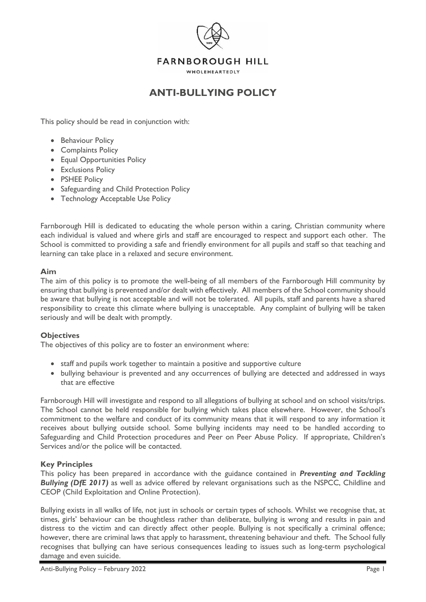

### **FARNBOROUGH HILL**

WHOLEHEARTEDLY

# **ANTI-BULLYING POLICY**

This policy should be read in conjunction with:

- Behaviour Policy
- Complaints Policy
- Equal Opportunities Policy
- Exclusions Policy
- PSHEE Policy
- Safeguarding and Child Protection Policy
- Technology Acceptable Use Policy

Farnborough Hill is dedicated to educating the whole person within a caring, Christian community where each individual is valued and where girls and staff are encouraged to respect and support each other. The School is committed to providing a safe and friendly environment for all pupils and staff so that teaching and learning can take place in a relaxed and secure environment.

#### **Aim**

The aim of this policy is to promote the well-being of all members of the Farnborough Hill community by ensuring that bullying is prevented and/or dealt with effectively. All members of the School community should be aware that bullying is not acceptable and will not be tolerated. All pupils, staff and parents have a shared responsibility to create this climate where bullying is unacceptable. Any complaint of bullying will be taken seriously and will be dealt with promptly.

#### **Objectives**

The objectives of this policy are to foster an environment where:

- staff and pupils work together to maintain a positive and supportive culture
- bullying behaviour is prevented and any occurrences of bullying are detected and addressed in ways that are effective

Farnborough Hill will investigate and respond to all allegations of bullying at school and on school visits/trips. The School cannot be held responsible for bullying which takes place elsewhere. However, the School's commitment to the welfare and conduct of its community means that it will respond to any information it receives about bullying outside school. Some bullying incidents may need to be handled according to Safeguarding and Child Protection procedures and Peer on Peer Abuse Policy. If appropriate, Children's Services and/or the police will be contacted.

#### **Key Principles**

This policy has been prepared in accordance with the guidance contained in *Preventing and Tackling*  **Bullying (DfE 2017)** as well as advice offered by relevant organisations such as the NSPCC, Childline and CEOP (Child Exploitation and Online Protection).

Bullying exists in all walks of life, not just in schools or certain types of schools. Whilst we recognise that, at times, girls' behaviour can be thoughtless rather than deliberate, bullying is wrong and results in pain and distress to the victim and can directly affect other people. Bullying is not specifically a criminal offence; however, there are criminal laws that apply to harassment, threatening behaviour and theft. The School fully recognises that bullying can have serious consequences leading to issues such as long-term psychological damage and even suicide.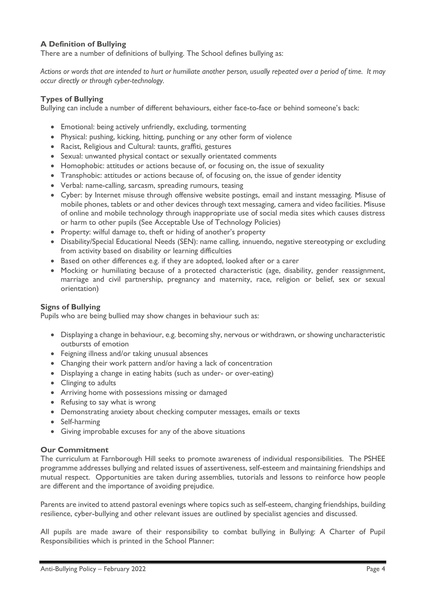### **A Definition of Bullying**

There are a number of definitions of bullying. The School defines bullying as:

*Actions or words that are intended to hurt or humiliate another person, usually repeated over a period of time. It may occur directly or through cyber-technology.*

### **Types of Bullying**

Bullying can include a number of different behaviours, either face-to-face or behind someone's back:

- Emotional: being actively unfriendly, excluding, tormenting
- Physical: pushing, kicking, hitting, punching or any other form of violence
- Racist, Religious and Cultural: taunts, graffiti, gestures
- Sexual: unwanted physical contact or sexually orientated comments
- Homophobic: attitudes or actions because of, or focusing on, the issue of sexuality
- Transphobic: attitudes or actions because of, of focusing on, the issue of gender identity
- Verbal: name-calling, sarcasm, spreading rumours, teasing
- Cyber: by Internet misuse through offensive website postings, email and instant messaging. Misuse of mobile phones, tablets or and other devices through text messaging, camera and video facilities. Misuse of online and mobile technology through inappropriate use of social media sites which causes distress or harm to other pupils (See Acceptable Use of Technology Policies)
- Property: wilful damage to, theft or hiding of another's property
- Disability/Special Educational Needs (SEN): name calling, innuendo, negative stereotyping or excluding from activity based on disability or learning difficulties
- Based on other differences e.g. if they are adopted, looked after or a carer
- Mocking or humiliating because of a protected characteristic (age, disability, gender reassignment, marriage and civil partnership, pregnancy and maternity, race, religion or belief, sex or sexual orientation)

### **Signs of Bullying**

Pupils who are being bullied may show changes in behaviour such as:

- Displaying a change in behaviour, e.g. becoming shy, nervous or withdrawn, or showing uncharacteristic outbursts of emotion
- Feigning illness and/or taking unusual absences
- Changing their work pattern and/or having a lack of concentration
- Displaying a change in eating habits (such as under- or over-eating)
- Clinging to adults
- Arriving home with possessions missing or damaged
- Refusing to say what is wrong
- Demonstrating anxiety about checking computer messages, emails or texts
- Self-harming
- Giving improbable excuses for any of the above situations

### **Our Commitment**

The curriculum at Farnborough Hill seeks to promote awareness of individual responsibilities. The PSHEE programme addresses bullying and related issues of assertiveness, self-esteem and maintaining friendships and mutual respect. Opportunities are taken during assemblies, tutorials and lessons to reinforce how people are different and the importance of avoiding prejudice.

Parents are invited to attend pastoral evenings where topics such as self-esteem, changing friendships, building resilience, cyber-bullying and other relevant issues are outlined by specialist agencies and discussed.

All pupils are made aware of their responsibility to combat bullying in Bullying: A Charter of Pupil Responsibilities which is printed in the School Planner: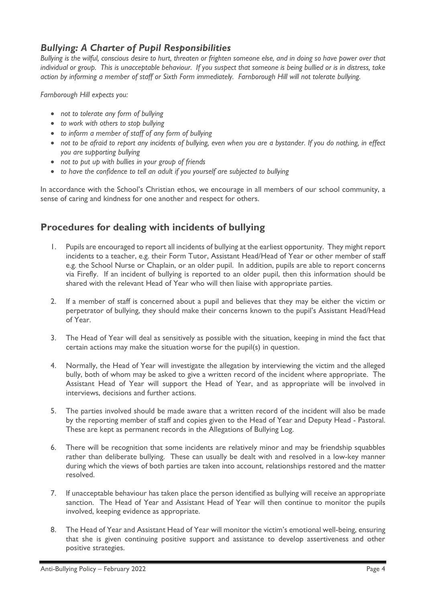## *Bullying: A Charter of Pupil Responsibilities*

*Bullying is the wilful, conscious desire to hurt, threaten or frighten someone else, and in doing so have power over that individual or group. This is unacceptable behaviour. If you suspect that someone is being bullied or is in distress, take action by informing a member of staff or Sixth Form immediately. Farnborough Hill will not tolerate bullying.* 

*Farnborough Hill expects you:*

- *not to tolerate any form of bullying*
- *to work with others to stop bullying*
- *to inform a member of staff of any form of bullying*
- not to be afraid to report any incidents of bullying, even when you are a bystander. If you do nothing, in effect *you are supporting bullying*
- *not to put up with bullies in your group of friends*
- *to have the confidence to tell an adult if you yourself are subjected to bullying*

In accordance with the School's Christian ethos, we encourage in all members of our school community, a sense of caring and kindness for one another and respect for others.

# **Procedures for dealing with incidents of bullying**

- 1. Pupils are encouraged to report all incidents of bullying at the earliest opportunity. They might report incidents to a teacher, e.g. their Form Tutor, Assistant Head/Head of Year or other member of staff e.g. the School Nurse or Chaplain, or an older pupil. In addition, pupils are able to report concerns via Firefly. If an incident of bullying is reported to an older pupil, then this information should be shared with the relevant Head of Year who will then liaise with appropriate parties.
- 2. If a member of staff is concerned about a pupil and believes that they may be either the victim or perpetrator of bullying, they should make their concerns known to the pupil's Assistant Head/Head of Year.
- 3. The Head of Year will deal as sensitively as possible with the situation, keeping in mind the fact that certain actions may make the situation worse for the pupil(s) in question.
- 4. Normally, the Head of Year will investigate the allegation by interviewing the victim and the alleged bully, both of whom may be asked to give a written record of the incident where appropriate. The Assistant Head of Year will support the Head of Year, and as appropriate will be involved in interviews, decisions and further actions.
- 5. The parties involved should be made aware that a written record of the incident will also be made by the reporting member of staff and copies given to the Head of Year and Deputy Head - Pastoral. These are kept as permanent records in the Allegations of Bullying Log.
- 6. There will be recognition that some incidents are relatively minor and may be friendship squabbles rather than deliberate bullying. These can usually be dealt with and resolved in a low-key manner during which the views of both parties are taken into account, relationships restored and the matter resolved.
- 7. If unacceptable behaviour has taken place the person identified as bullying will receive an appropriate sanction. The Head of Year and Assistant Head of Year will then continue to monitor the pupils involved, keeping evidence as appropriate.
- 8. The Head of Year and Assistant Head of Year will monitor the victim's emotional well-being, ensuring that she is given continuing positive support and assistance to develop assertiveness and other positive strategies.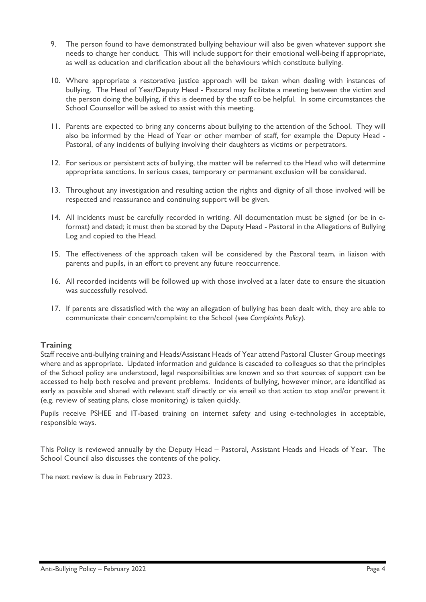- 9. The person found to have demonstrated bullying behaviour will also be given whatever support she needs to change her conduct. This will include support for their emotional well-being if appropriate, as well as education and clarification about all the behaviours which constitute bullying.
- 10. Where appropriate a restorative justice approach will be taken when dealing with instances of bullying. The Head of Year/Deputy Head - Pastoral may facilitate a meeting between the victim and the person doing the bullying, if this is deemed by the staff to be helpful. In some circumstances the School Counsellor will be asked to assist with this meeting.
- 11. Parents are expected to bring any concerns about bullying to the attention of the School. They will also be informed by the Head of Year or other member of staff, for example the Deputy Head - Pastoral, of any incidents of bullying involving their daughters as victims or perpetrators.
- 12. For serious or persistent acts of bullying, the matter will be referred to the Head who will determine appropriate sanctions. In serious cases, temporary or permanent exclusion will be considered.
- 13. Throughout any investigation and resulting action the rights and dignity of all those involved will be respected and reassurance and continuing support will be given.
- 14. All incidents must be carefully recorded in writing. All documentation must be signed (or be in eformat) and dated; it must then be stored by the Deputy Head - Pastoral in the Allegations of Bullying Log and copied to the Head.
- 15. The effectiveness of the approach taken will be considered by the Pastoral team, in liaison with parents and pupils, in an effort to prevent any future reoccurrence.
- 16. All recorded incidents will be followed up with those involved at a later date to ensure the situation was successfully resolved.
- 17. If parents are dissatisfied with the way an allegation of bullying has been dealt with, they are able to communicate their concern/complaint to the School (see *Complaints Policy*).

### **Training**

Staff receive anti-bullying training and Heads/Assistant Heads of Year attend Pastoral Cluster Group meetings where and as appropriate. Updated information and guidance is cascaded to colleagues so that the principles of the School policy are understood, legal responsibilities are known and so that sources of support can be accessed to help both resolve and prevent problems. Incidents of bullying, however minor, are identified as early as possible and shared with relevant staff directly or via email so that action to stop and/or prevent it (e.g. review of seating plans, close monitoring) is taken quickly.

Pupils receive PSHEE and IT-based training on internet safety and using e-technologies in acceptable, responsible ways.

This Policy is reviewed annually by the Deputy Head – Pastoral, Assistant Heads and Heads of Year. The School Council also discusses the contents of the policy.

The next review is due in February 2023.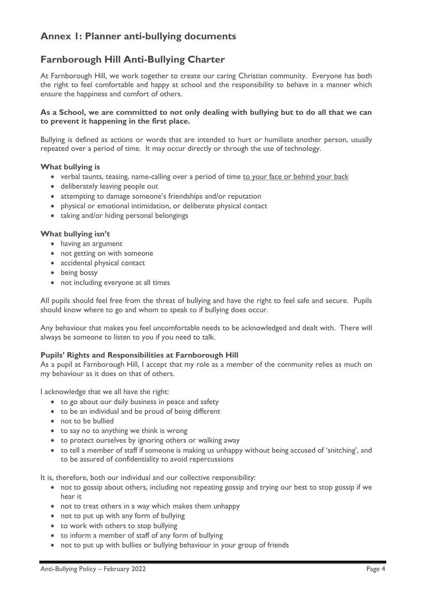# **Annex 1: Planner anti-bullying documents**

# **Farnborough Hill Anti-Bullying Charter**

At Farnborough Hill, we work together to create our caring Christian community. Everyone has both the right to feel comfortable and happy at school and the responsibility to behave in a manner which ensure the happiness and comfort of others.

### **As a School, we are committed to not only dealing with bullying but to do all that we can to prevent it happening in the first place.**

Bullying is defined as actions or words that are intended to hurt or humiliate another person, usually repeated over a period of time. It may occur directly or through the use of technology.

### **What bullying is**

- verbal taunts, teasing, name-calling over a period of time to your face or behind your back
- deliberately leaving people out
- attempting to damage someone's friendships and/or reputation
- physical or emotional intimidation, or deliberate physical contact
- taking and/or hiding personal belongings

### **What bullying isn't**

- having an argument
- not getting on with someone
- accidental physical contact
- being bossy
- not including everyone at all times

All pupils should feel free from the threat of bullying and have the right to feel safe and secure. Pupils should know where to go and whom to speak to if bullying does occur.

Any behaviour that makes you feel uncomfortable needs to be acknowledged and dealt with. There will always be someone to listen to you if you need to talk.

### **Pupils' Rights and Responsibilities at Farnborough Hill**

As a pupil at Farnborough Hill, I accept that my role as a member of the community relies as much on my behaviour as it does on that of others.

I acknowledge that we all have the right:

- to go about our daily business in peace and safety
- to be an individual and be proud of being different
- not to be bullied
- to say no to anything we think is wrong
- to protect ourselves by ignoring others or walking away
- to tell a member of staff if someone is making us unhappy without being accused of 'snitching', and to be assured of confidentiality to avoid repercussions

It is, therefore, both our individual and our collective responsibility:

- not to gossip about others, including not repeating gossip and trying our best to stop gossip if we hear it
- not to treat others in a way which makes them unhappy
- not to put up with any form of bullying
- to work with others to stop bullying
- to inform a member of staff of any form of bullying
- not to put up with bullies or bullying behaviour in your group of friends